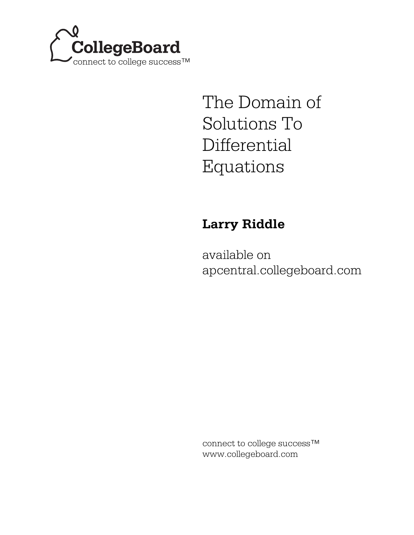

# The Domain of Solutions To Differential Equations

## **Larry Riddle**

available on apcentral.collegeboard.com

connect to college success™ www.collegeboard.com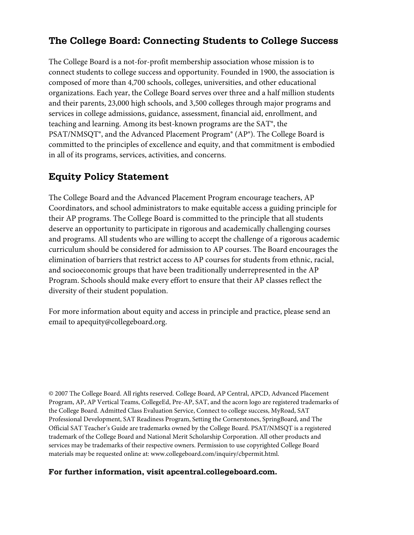## **The College Board: Connecting Students to College Success**

The College Board is a not-for-profit membership association whose mission is to connect students to college success and opportunity. Founded in 1900, the association is composed of more than 4,700 schools, colleges, universities, and other educational organizations. Each year, the College Board serves over three and a half million students and their parents, 23,000 high schools, and 3,500 colleges through major programs and services in college admissions, guidance, assessment, financial aid, enrollment, and teaching and learning. Among its best-known programs are the SAT®, the PSAT/NMSQT®, and the Advanced Placement Program® (AP®). The College Board is committed to the principles of excellence and equity, and that commitment is embodied in all of its programs, services, activities, and concerns.

### **Equity Policy Statement**

The College Board and the Advanced Placement Program encourage teachers, AP Coordinators, and school administrators to make equitable access a guiding principle for their AP programs. The College Board is committed to the principle that all students deserve an opportunity to participate in rigorous and academically challenging courses and programs. All students who are willing to accept the challenge of a rigorous academic curriculum should be considered for admission to AP courses. The Board encourages the elimination of barriers that restrict access to AP courses for students from ethnic, racial, and socioeconomic groups that have been traditionally underrepresented in the AP Program. Schools should make every effort to ensure that their AP classes reflect the diversity of their student population.

For more information about equity and access in principle and practice, please send an email to apequity@collegeboard.org.

© 2007 The College Board. All rights reserved. College Board, AP Central, APCD, Advanced Placement Program, AP, AP Vertical Teams, CollegeEd, Pre-AP, SAT, and the acorn logo are registered trademarks of the College Board. Admitted Class Evaluation Service, Connect to college success, MyRoad, SAT Professional Development, SAT Readiness Program, Setting the Cornerstones, SpringBoard, and The Official SAT Teacher's Guide are trademarks owned by the College Board. PSAT/NMSQT is a registered trademark of the College Board and National Merit Scholarship Corporation. All other products and services may be trademarks of their respective owners. Permission to use copyrighted College Board materials may be requested online at: www.collegeboard.com/inquiry/cbpermit.html.

#### **For further information, visit apcentral.collegeboard.com.**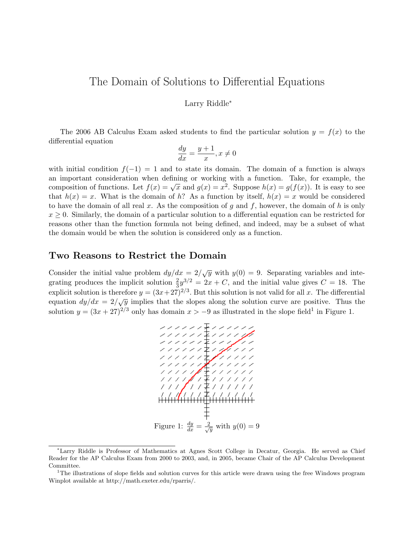## The Domain of Solutions to Differential Equations

#### Larry Riddle<sup>∗</sup>

The 2006 AB Calculus Exam asked students to find the particular solution  $y = f(x)$  to the differential equation

$$
\frac{dy}{dx} = \frac{y+1}{x}, x \neq 0
$$

with initial condition  $f(-1) = 1$  and to state its domain. The domain of a function is always an important consideration when defining or working with a function. Take, for example, the composition of functions. Let  $f(x) = \sqrt{x}$  and  $g(x) = x^2$ . Suppose  $h(x) = g(f(x))$ . It is easy to see that  $h(x) = x$ . What is the domain of h? As a function by itself,  $h(x) = x$  would be considered to have the domain of all real x. As the composition of q and f, however, the domain of h is only  $x \geq 0$ . Similarly, the domain of a particular solution to a differential equation can be restricted for reasons other than the function formula not being defined, and indeed, may be a subset of what the domain would be when the solution is considered only as a function.

#### Two Reasons to Restrict the Domain

Consider the initial value problem  $dy/dx = 2/\sqrt{y}$  with  $y(0) = 9$ . Separating variables and integrating produces the implicit solution  $\frac{2}{3}y^{3/2} = 2x + C$ , and the initial value gives  $C = 18$ . The explicit solution is therefore  $y = (3x+27)^{2/3}$ . But this solution is not valid for all x. The differential equation  $dy/dx = 2/\sqrt{y}$  implies that the slopes along the solution curve are positive. Thus the solution  $y = (3x + 27)^{2/3}$  only has domain  $x > -9$  as illustrated in the slope field<sup>1</sup> in Figure 1.



<sup>∗</sup>Larry Riddle is Professor of Mathematics at Agnes Scott College in Decatur, Georgia. He served as Chief Reader for the AP Calculus Exam from 2000 to 2003, and, in 2005, became Chair of the AP Calculus Development Committee.

<sup>&</sup>lt;sup>1</sup>The illustrations of slope fields and solution curves for this article were drawn using the free Windows program Winplot available at http://math.exeter.edu/rparris/.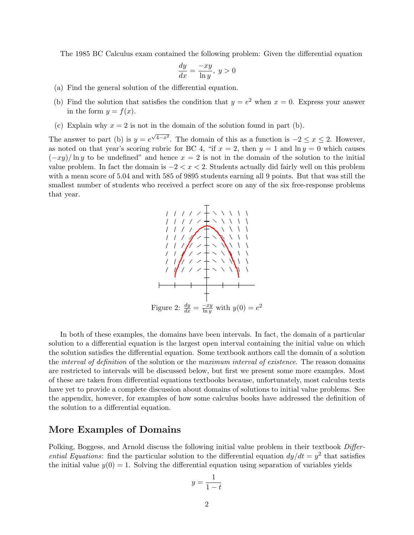The 1985 BC Calculus exam contained the following problem: Given the differential equation

$$
\frac{dy}{dx} = \frac{-xy}{\ln y}, \ y > 0
$$

- (a) Find the general solution of the differential equation.
- (b) Find the solution that satisfies the condition that  $y = e^2$  when  $x = 0$ . Express your answer in the form  $y = f(x)$ .
- (c) Explain why  $x = 2$  is not in the domain of the solution found in part (b).

The answer to part (b) is  $y = e$  $\sqrt{4-x^2}$ . The domain of this as a function is  $-2 \le x \le 2$ . However, as noted on that year's scoring rubric for BC 4, "if  $x = 2$ , then  $y = 1$  and  $\ln y = 0$  which causes  $(-xy)/\ln y$  to be undefined" and hence  $x = 2$  is not in the domain of the solution to the initial value problem. In fact the domain is  $-2 < x < 2$ . Students actually did fairly well on this problem with a mean score of 5.04 and with 585 of 9895 students earning all 9 points. But that was still the smallest number of students who received a perfect score on any of the six free-response problems that year.



In both of these examples, the domains have been intervals. In fact, the domain of a particular solution to a differential equation is the largest open interval containing the initial value on which the solution satisfies the differential equation. Some textbook authors call the domain of a solution the *interval of definition* of the solution or the *maximum interval of existence*. The reason domains are restricted to intervals will be discussed below, but first we present some more examples. Most of these are taken from differential equations textbooks because, unfortunately, most calculus texts have yet to provide a complete discussion about domains of solutions to initial value problems. See the appendix, however, for examples of how some calculus books have addressed the definition of the solution to a differential equation.

#### More Examples of Domains

Polking, Boggess, and Arnold discuss the following initial value problem in their textbook Differential Equations: find the particular solution to the differential equation  $dy/dt = y^2$  that satisfies the initial value  $y(0) = 1$ . Solving the differential equation using separation of variables yields

$$
y = \frac{1}{1 - t}
$$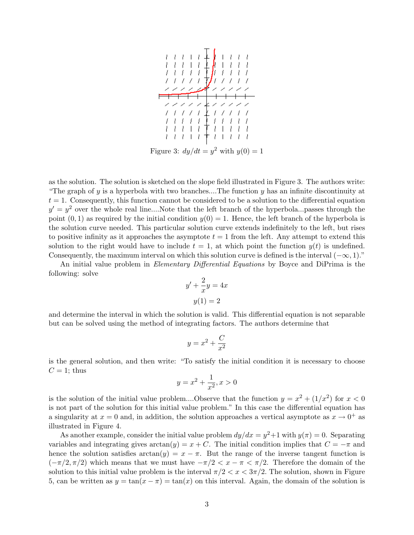

Figure 3:  $dy/dt = y^2$  with  $y(0) = 1$ 

as the solution. The solution is sketched on the slope field illustrated in Figure 3. The authors write: "The graph of y is a hyperbola with two branches....The function y has an infinite discontinuity at  $t = 1$ . Consequently, this function cannot be considered to be a solution to the differential equation  $y' = y^2$  over the whole real line....Note that the left branch of the hyperbola...passes through the point  $(0, 1)$  as required by the initial condition  $y(0) = 1$ . Hence, the left branch of the hyperbola is the solution curve needed. This particular solution curve extends indefinitely to the left, but rises to positive infinity as it approaches the asymptote  $t = 1$  from the left. Any attempt to extend this solution to the right would have to include  $t = 1$ , at which point the function  $y(t)$  is undefined. Consequently, the maximum interval on which this solution curve is defined is the interval  $(-\infty, 1)$ ."

An initial value problem in *Elementary Differential Equations* by Boyce and DiPrima is the following: solve

$$
y' + \frac{2}{x}y = 4x
$$

$$
y(1) = 2
$$

and determine the interval in which the solution is valid. This differential equation is not separable but can be solved using the method of integrating factors. The authors determine that

$$
y = x^2 + \frac{C}{x^2}
$$

is the general solution, and then write: "To satisfy the initial condition it is necessary to choose  $C=1$ ; thus

$$
y = x^2 + \frac{1}{x^2}, x > 0
$$

is the solution of the initial value problem....Observe that the function  $y = x^2 + (1/x^2)$  for  $x < 0$ is not part of the solution for this initial value problem." In this case the differential equation has a singularity at  $x = 0$  and, in addition, the solution approaches a vertical asymptote as  $x \to 0^+$  as illustrated in Figure 4.

As another example, consider the initial value problem  $dy/dx = y^2 + 1$  with  $y(\pi) = 0$ . Separating variables and integrating gives  $arctan(y) = x + C$ . The initial condition implies that  $C = -\pi$  and hence the solution satisfies  $arctan(y) = x - \pi$ . But the range of the inverse tangent function is  $(-\pi/2, \pi/2)$  which means that we must have  $-\pi/2 < x - \pi < \pi/2$ . Therefore the domain of the solution to this initial value problem is the interval  $\pi/2 < x < 3\pi/2$ . The solution, shown in Figure 5, can be written as  $y = \tan(x - \pi) = \tan(x)$  on this interval. Again, the domain of the solution is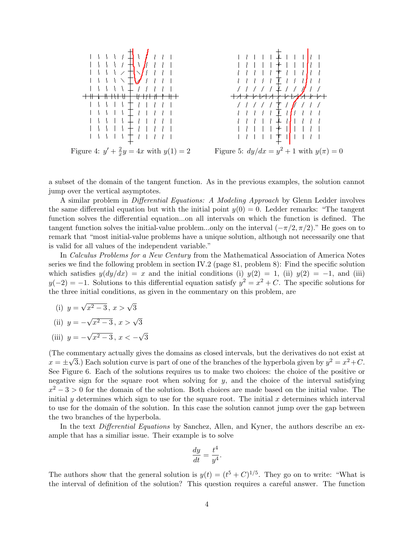

a subset of the domain of the tangent function. As in the previous examples, the solution cannot jump over the vertical asymptotes.

A similar problem in Differential Equations: A Modeling Approach by Glenn Ledder involves the same differential equation but with the initial point  $y(0) = 0$ . Ledder remarks: "The tangent function solves the differential equation...on all intervals on which the function is defined. The tangent function solves the initial-value problem...only on the interval  $(-\pi/2, \pi/2)$ ." He goes on to remark that "most initial-value problems have a unique solution, although not necessarily one that is valid for all values of the independent variable."

In Calculus Problems for a New Century from the Mathematical Association of America Notes series we find the following problem in section IV.2 (page 81, problem 8): Find the specific solution which satisfies  $y(dy/dx) = x$  and the initial conditions (i)  $y(2) = 1$ , (ii)  $y(2) = -1$ , and (iii)  $y(-2) = -1$ . Solutions to this differential equation satisfy  $y^2 = x^2 + C$ . The specific solutions for the three initial conditions, as given in the commentary on this problem, are

 $(i)$   $y =$ √  $\overline{x^2-3}$ ,  $x > \sqrt{3}$ 

(ii) 
$$
y = -\sqrt{x^2 - 3}, x > \sqrt{3}
$$

 $(iii)$   $y = -$ √  $x^2-3, x < -$ √ 3

(The commentary actually gives the domains as closed intervals, but the derivatives do not exist at  $x = \pm$ √ 3.) Each solution curve is part of one of the branches of the hyperbola given by  $y^2 = x^2 + C$ . See Figure 6. Each of the solutions requires us to make two choices: the choice of the positive or negative sign for the square root when solving for  $y$ , and the choice of the interval satisfying  $x^2 - 3 > 0$  for the domain of the solution. Both choices are made based on the initial value. The initial y determines which sign to use for the square root. The initial x determines which interval to use for the domain of the solution. In this case the solution cannot jump over the gap between the two branches of the hyperbola.

In the text *Differential Equations* by Sanchez, Allen, and Kyner, the authors describe an example that has a similiar issue. Their example is to solve

$$
\frac{dy}{dt} = \frac{t^4}{y^4}.
$$

The authors show that the general solution is  $y(t) = (t^5 + C)^{1/5}$ . They go on to write: "What is the interval of definition of the solution? This question requires a careful answer. The function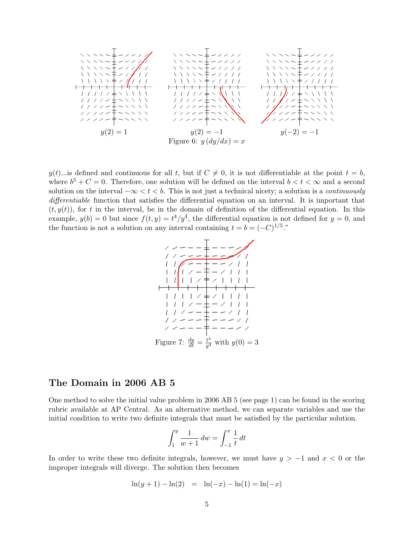

y(t)...is defined and continuous for all t, but if  $C \neq 0$ , it is not differentiable at the point  $t = b$ , where  $b^5 + C = 0$ . Therefore, one solution will be defined on the interval  $b < t < \infty$  and a second solution on the interval  $-\infty < t < b$ . This is not just a technical nicety; a solution is a *continuously* differentiable function that satisfies the differential equation on an interval. It is important that  $(t, y(t))$ , for t in the interval, be in the domain of definition of the differential equation. In this example,  $y(b) = 0$  but since  $f(t, y) = t^4/y^4$ , the differential equation is not defined for  $y = 0$ , and the function is not a solution on any interval containing  $t = b = (-C)^{1/5}$ ."



#### The Domain in 2006 AB 5

One method to solve the initial value problem in 2006 AB 5 (see page 1) can be found in the scoring rubric available at AP Central. As an alternative method, we can separate variables and use the initial condition to write two definite integrals that must be satisfied by the particular solution.

$$
\int_{1}^{y} \frac{1}{w+1} \, dw = \int_{-1}^{x} \frac{1}{t} \, dt
$$

In order to write these two definite integrals, however, we must have  $y > -1$  and  $x < 0$  or the improper integrals will diverge. The solution then becomes

$$
\ln(y+1) - \ln(2) = \ln(-x) - \ln(1) = \ln(-x)
$$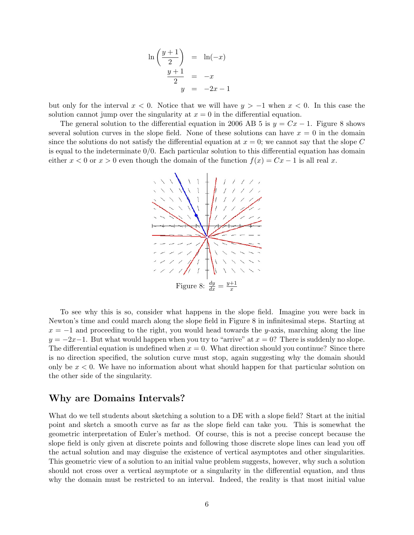$$
\ln\left(\frac{y+1}{2}\right) = \ln(-x)
$$
  

$$
\frac{y+1}{2} = -x
$$
  

$$
y = -2x - 1
$$

but only for the interval  $x < 0$ . Notice that we will have  $y > -1$  when  $x < 0$ . In this case the solution cannot jump over the singularity at  $x = 0$  in the differential equation.

The general solution to the differential equation in 2006 AB 5 is  $y = Cx - 1$ . Figure 8 shows several solution curves in the slope field. None of these solutions can have  $x = 0$  in the domain since the solutions do not satisfy the differential equation at  $x = 0$ ; we cannot say that the slope C is equal to the indeterminate  $0/0$ . Each particular solution to this differential equation has domain either  $x < 0$  or  $x > 0$  even though the domain of the function  $f(x) = Cx - 1$  is all real x.



To see why this is so, consider what happens in the slope field. Imagine you were back in Newton's time and could march along the slope field in Figure 8 in infinitesimal steps. Starting at  $x = -1$  and proceeding to the right, you would head towards the y-axis, marching along the line  $y = -2x-1$ . But what would happen when you try to "arrive" at  $x = 0$ ? There is suddenly no slope. The differential equation is undefined when  $x = 0$ . What direction should you continue? Since there is no direction specified, the solution curve must stop, again suggesting why the domain should only be  $x < 0$ . We have no information about what should happen for that particular solution on the other side of the singularity.

#### Why are Domains Intervals?

What do we tell students about sketching a solution to a DE with a slope field? Start at the initial point and sketch a smooth curve as far as the slope field can take you. This is somewhat the geometric interpretation of Euler's method. Of course, this is not a precise concept because the slope field is only given at discrete points and following those discrete slope lines can lead you off the actual solution and may disguise the existence of vertical asymptotes and other singularities. This geometric view of a solution to an initial value problem suggests, however, why such a solution should not cross over a vertical asymptote or a singularity in the differential equation, and thus why the domain must be restricted to an interval. Indeed, the reality is that most initial value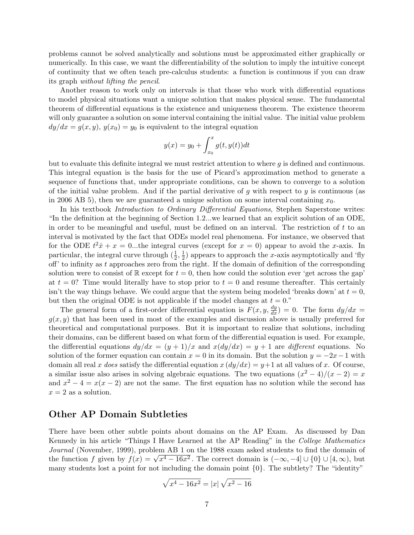problems cannot be solved analytically and solutions must be approximated either graphically or numerically. In this case, we want the differentiability of the solution to imply the intuitive concept of continuity that we often teach pre-calculus students: a function is continuous if you can draw its graph without lifting the pencil.

Another reason to work only on intervals is that those who work with differential equations to model physical situations want a unique solution that makes physical sense. The fundamental theorem of differential equations is the existence and uniqueness theorem. The existence theorem will only guarantee a solution on some interval containing the initial value. The initial value problem  $dy/dx = g(x, y), y(x_0) = y_0$  is equivalent to the integral equation

$$
y(x) = y_0 + \int_{x_0}^x g(t, y(t)) dt
$$

but to evaluate this definite integral we must restrict attention to where g is defined and continuous. This integral equation is the basis for the use of Picard's approximation method to generate a sequence of functions that, under appropriate conditions, can be shown to converge to a solution of the initial value problem. And if the partial derivative of g with respect to y is continuous (as in 2006 AB 5), then we are guaranteed a unique solution on some interval containing  $x_0$ .

In his textbook Introduction to Ordinary Differential Equations, Stephen Saperstone writes: "In the definition at the beginning of Section 1.2...we learned that an explicit solution of an ODE, in order to be meaningful and useful, must be defined on an interval. The restriction of t to an interval is motivated by the fact that ODEs model real phenomena. For instance, we observed that for the ODE  $t^2\dot{x} + x = 0$ ...the integral curves (except for  $x = 0$ ) appear to avoid the x-axis. In particular, the integral curve through  $(\frac{1}{2}, \frac{1}{2})$  $\frac{1}{2}$ ) appears to approach the x-axis asymptotically and 'fly off' to infinity as  $t$  approaches zero from the right. If the domain of definition of the corresponding solution were to consist of  $\mathbb R$  except for  $t = 0$ , then how could the solution ever 'get across the gap' at  $t = 0$ ? Time would literally have to stop prior to  $t = 0$  and resume thereafter. This certainly isn't the way things behave. We could argue that the system being modeled 'breaks down' at  $t = 0$ , but then the original ODE is not applicable if the model changes at  $t = 0$ ."

The general form of a first-order differential equation is  $F(x, y, \frac{dy}{dx}) = 0$ . The form  $dy/dx =$  $g(x, y)$  that has been used in most of the examples and discussion above is usually preferred for theoretical and computational purposes. But it is important to realize that solutions, including their domains, can be different based on what form of the differential equation is used. For example, the differential equations  $dy/dx = (y+1)/x$  and  $x(dy/dx) = y+1$  are different equations. No solution of the former equation can contain  $x = 0$  in its domain. But the solution  $y = -2x - 1$  with domain all real x does satisfy the differential equation  $x (dy/dx) = y+1$  at all values of x. Of course, a similar issue also arises in solving algebraic equations. The two equations  $(x^2 - 4)/(x - 2) = x$ and  $x^2 - 4 = x(x - 2)$  are not the same. The first equation has no solution while the second has  $x = 2$  as a solution.

#### Other AP Domain Subtleties

There have been other subtle points about domains on the AP Exam. As discussed by Dan Kennedy in his article "Things I Have Learned at the AP Reading" in the College Mathematics Journal (November, 1999), problem AB 1 on the 1988 exam asked students to find the domain of Journal (November, 1999), problem AB 1 on the 1988 exam asked students to find the domain of<br>the function f given by  $f(x) = \sqrt{x^4 - 16x^2}$ . The correct domain is  $(-\infty, -4] \cup \{0\} \cup [4, \infty)$ , but many students lost a point for not including the domain point  $\{0\}$ . The subtlety? The "identity"

$$
\sqrt{x^4 - 16x^2} = |x| \sqrt{x^2 - 16}
$$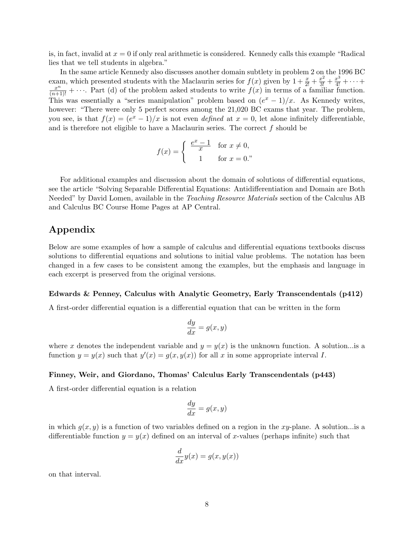is, in fact, invalid at  $x = 0$  if only real arithmetic is considered. Kennedy calls this example "Radical" lies that we tell students in algebra."

In the same article Kennedy also discusses another domain subtlety in problem 2 on the 1996 BC exam, which presented students with the Maclaurin series for  $f(x)$  given by  $1+\frac{x}{2!}+\frac{x^2}{3!}+\frac{x^3}{4!}+\cdots+$  $\frac{x^n}{(n+1)!} + \cdots$  Part (d) of the problem asked students to write  $f(x)$  in terms of a familiar function. This was essentially a "series manipulation" problem based on  $(e^x - 1)/x$ . As Kennedy writes, however: "There were only 5 perfect scores among the 21,020 BC exams that year. The problem, you see, is that  $f(x) = (e^x - 1)/x$  is not even *defined* at  $x = 0$ , let alone infinitely differentiable, and is therefore not eligible to have a Maclaurin series. The correct  $f$  should be

$$
f(x) = \begin{cases} \frac{e^x - 1}{x} & \text{for } x \neq 0, \\ 1 & \text{for } x = 0. \end{cases}
$$

For additional examples and discussion about the domain of solutions of differential equations, see the article "Solving Separable Differential Equations: Antidifferentiation and Domain are Both Needed" by David Lomen, available in the *Teaching Resource Materials* section of the Calculus AB and Calculus BC Course Home Pages at AP Central.

#### Appendix

Below are some examples of how a sample of calculus and differential equations textbooks discuss solutions to differential equations and solutions to initial value problems. The notation has been changed in a few cases to be consistent among the examples, but the emphasis and language in each excerpt is preserved from the original versions.

#### Edwards & Penney, Calculus with Analytic Geometry, Early Transcendentals (p412)

A first-order differential equation is a differential equation that can be written in the form

$$
\frac{dy}{dx} = g(x, y)
$$

where x denotes the independent variable and  $y = y(x)$  is the unknown function. A solution... is a function  $y = y(x)$  such that  $y'(x) = g(x, y(x))$  for all x in some appropriate interval I.

#### Finney, Weir, and Giordano, Thomas' Calculus Early Transcendentals (p443)

A first-order differential equation is a relation

$$
\frac{dy}{dx} = g(x, y)
$$

in which  $g(x, y)$  is a function of two variables defined on a region in the xy-plane. A solution...is a differentiable function  $y = y(x)$  defined on an interval of x-values (perhaps infinite) such that

$$
\frac{d}{dx}y(x) = g(x, y(x))
$$

on that interval.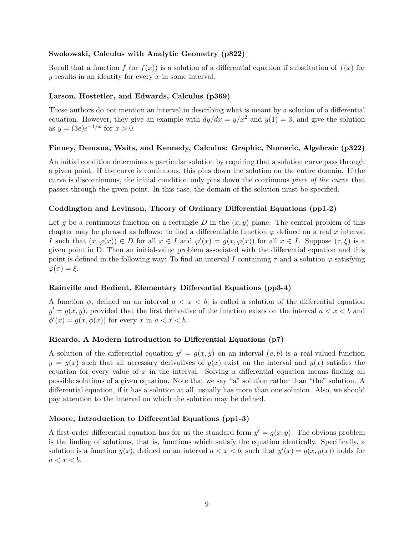#### Swokowski, Calculus with Analytic Geometry (p822)

Recall that a function f (or  $f(x)$ ) is a solution of a differential equation if substitution of  $f(x)$  for  $y$  results in an identity for every  $x$  in some interval.

#### Larson, Hostetler, and Edwards, Calculus (p369)

These authors do not mention an interval in describing what is meant by a solution of a differential equation. However, they give an example with  $dy/dx = y/x^2$  and  $y(1) = 3$ , and give the solution as  $y = (3e)e^{-1/x}$  for  $x > 0$ .

#### Finney, Demana, Waits, and Kennedy, Calculus: Graphic, Numeric, Algebraic (p322)

An initial condition determines a particular solution by requiring that a solution curve pass through a given point. If the curve is continuous, this pins down the solution on the entire domain. If the curve is discontinuous, the initial condition only pins down the continuous piece of the curve that passes through the given point. In this case, the domain of the solution must be specified.

#### Coddington and Levinson, Theory of Ordinary Differential Equations (pp1-2)

Let g be a continuous function on a rectangle D in the  $(x, y)$  plane. The central problem of this chapter may be phrased as follows: to find a differentiable function  $\varphi$  defined on a real x interval I such that  $(x, \varphi(x)) \in D$  for all  $x \in I$  and  $\varphi'(x) = g(x, \varphi(x))$  for all  $x \in I$ . Suppose  $(\tau, \xi)$  is a given point in D. Then an initial-value problem associated with the differential equation and this point is defined in the following way: To find an interval I containing  $\tau$  and a solution  $\varphi$  satisfying  $\varphi(\tau) = \xi$ .

#### Rainville and Bedient, Elementary Differential Equations (pp3-4)

A function  $\phi$ , defined on an interval  $a < x < b$ , is called a solution of the differential equation  $y' = g(x, y)$ , provided that the first derivative of the function exists on the interval  $a < x < b$  and  $\phi'(x) = g(x, \phi(x))$  for every x in  $a < x < b$ .

#### Ricardo, A Modern Introduction to Differential Equations (p7)

A solution of the differential equation  $y' = g(x, y)$  on an interval  $(a, b)$  is a real-valued function  $y = y(x)$  such that all necessary derivatives of  $y(x)$  exist on the interval and  $y(x)$  satisfies the equation for every value of  $x$  in the interval. Solving a differential equation means finding all possible solutions of a given equation. Note that we say "a" solution rather than "the" solution. A differential equation, if it has a solution at all, usually has more than one solution. Also, we should pay attention to the interval on which the solution may be defined.

#### Moore, Introduction to Differential Equations (pp1-3)

A first-order differential equation has for us the standard form  $y' = g(x, y)$ . The obvious problem is the finding of solutions, that is, functions which satisfy the equation identically. Specifically, a solution is a function  $y(x)$ , defined on an interval  $a < x < b$ , such that  $y'(x) = g(x, y(x))$  holds for  $a < x < b$ .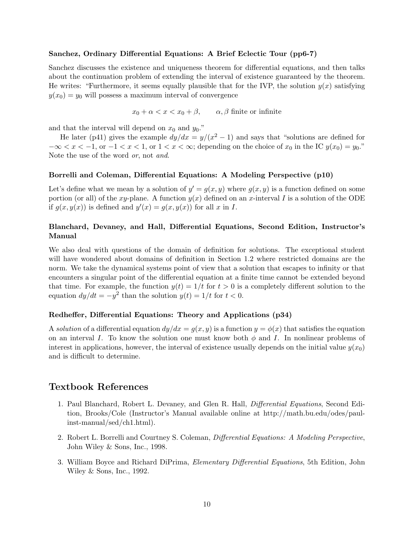#### Sanchez, Ordinary Differential Equations: A Brief Eclectic Tour (pp6-7)

Sanchez discusses the existence and uniqueness theorem for differential equations, and then talks about the continuation problem of extending the interval of existence guaranteed by the theorem. He writes: "Furthermore, it seems equally plausible that for the IVP, the solution  $y(x)$  satisfying  $y(x_0) = y_0$  will possess a maximum interval of convergence

 $x_0 + \alpha < x < x_0 + \beta$ ,  $\alpha, \beta$  finite or infinite

and that the interval will depend on  $x_0$  and  $y_0$  ."

He later (p41) gives the example  $dy/dx = y/(x^2 - 1)$  and says that "solutions are defined for  $-\infty < x < -1$ , or  $-1 < x < 1$ , or  $1 < x < \infty$ ; depending on the choice of  $x_0$  in the IC  $y(x_0) = y_0$ ." Note the use of the word or, not and.

#### Borrelli and Coleman, Differential Equations: A Modeling Perspective (p10)

Let's define what we mean by a solution of  $y' = g(x, y)$  where  $g(x, y)$  is a function defined on some portion (or all) of the xy-plane. A function  $y(x)$  defined on an x-interval I is a solution of the ODE if  $g(x, y(x))$  is defined and  $y'(x) = g(x, y(x))$  for all x in I.

#### Blanchard, Devaney, and Hall, Differential Equations, Second Edition, Instructor's Manual

We also deal with questions of the domain of definition for solutions. The exceptional student will have wondered about domains of definition in Section 1.2 where restricted domains are the norm. We take the dynamical systems point of view that a solution that escapes to infinity or that encounters a singular point of the differential equation at a finite time cannot be extended beyond that time. For example, the function  $y(t) = 1/t$  for  $t > 0$  is a completely different solution to the equation  $dy/dt = -y^2$  than the solution  $y(t) = 1/t$  for  $t < 0$ .

#### Redheffer, Differential Equations: Theory and Applications (p34)

A solution of a differential equation  $dy/dx = g(x, y)$  is a function  $y = \phi(x)$  that satisfies the equation on an interval I. To know the solution one must know both  $\phi$  and I. In nonlinear problems of interest in applications, however, the interval of existence usually depends on the initial value  $y(x_0)$ and is difficult to determine.

#### Textbook References

- 1. Paul Blanchard, Robert L. Devaney, and Glen R. Hall, Differential Equations, Second Edition, Brooks/Cole (Instructor's Manual available online at http://math.bu.edu/odes/paulinst-manual/sed/ch1.html).
- 2. Robert L. Borrelli and Courtney S. Coleman, Differential Equations: A Modeling Perspective, John Wiley & Sons, Inc., 1998.
- 3. William Boyce and Richard DiPrima, Elementary Differential Equations, 5th Edition, John Wiley & Sons, Inc., 1992.